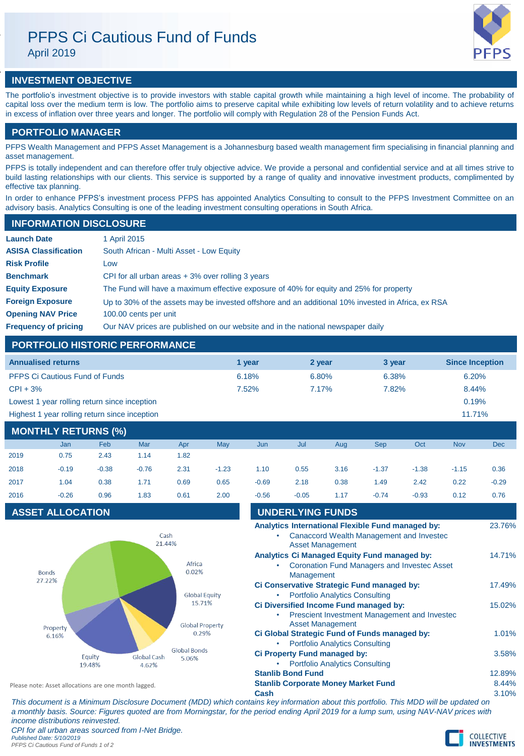# PFPS Ci Cautious Fund of Funds

April 2019



## **INVESTMENT OBJECTIVE**

The portfolio's investment objective is to provide investors with stable capital growth while maintaining a high level of income. The probability of capital loss over the medium term is low. The portfolio aims to preserve capital while exhibiting low levels of return volatility and to achieve returns in excess of inflation over three years and longer. The portfolio will comply with Regulation 28 of the Pension Funds Act.

## **PORTFOLIO MANAGER**

PFPS Wealth Management and PFPS Asset Management is a Johannesburg based wealth management firm specialising in financial planning and asset management.

PFPS is totally independent and can therefore offer truly objective advice. We provide a personal and confidential service and at all times strive to build lasting relationships with our clients. This service is supported by a range of quality and innovative investment products, complimented by effective tax planning.

In order to enhance PFPS's investment process PFPS has appointed Analytics Consulting to consult to the PFPS Investment Committee on an advisory basis. Analytics Consulting is one of the leading investment consulting operations in South Africa.

## **INFORMATION DISCLOSURE**

| <b>Launch Date</b>          | 1 April 2015                                                                                      |
|-----------------------------|---------------------------------------------------------------------------------------------------|
| <b>ASISA Classification</b> | South African - Multi Asset - Low Equity                                                          |
| <b>Risk Profile</b>         | LOW                                                                                               |
| <b>Benchmark</b>            | CPI for all urban areas $+3\%$ over rolling 3 years                                               |
| <b>Equity Exposure</b>      | The Fund will have a maximum effective exposure of 40% for equity and 25% for property            |
| <b>Foreign Exposure</b>     | Up to 30% of the assets may be invested offshore and an additional 10% invested in Africa, ex RSA |
| <b>Opening NAV Price</b>    | 100.00 cents per unit                                                                             |
| <b>Frequency of pricing</b> | Our NAV prices are published on our website and in the national newspaper daily                   |

## **PORTFOLIO HISTORIC PERFORMANCE**

| <b>Annualised returns</b>                     | 1 vear | 2 year | 3 year | <b>Since Inception</b> |
|-----------------------------------------------|--------|--------|--------|------------------------|
| <b>PFPS Ci Cautious Fund of Funds</b>         | 6.18%  | 6.80%  | 6.38%  | 6.20%                  |
| $CPI + 3%$                                    | 7.52%  | 7.17%  | 7.82%  | 8.44%                  |
| Lowest 1 year rolling return since inception  |        |        |        | 0.19%                  |
| Highest 1 year rolling return since inception |        |        |        | 11.71%                 |

## **MONTHLY RETURNS (%)**

|      | <b>Jan</b> | <b>Feb</b> | Mar     | Apr  | <b>May</b> | Jun     | Jul     | Aug  | <b>Sep</b> | Oct     | <b>Nov</b> | <b>Dec</b> |
|------|------------|------------|---------|------|------------|---------|---------|------|------------|---------|------------|------------|
| 2019 | 0.75       | 2.43       | 1.14    | 1.82 |            |         |         |      |            |         |            |            |
| 2018 | $-0.19$    | $-0.38$    | $-0.76$ | 2.31 | $-1.23$    | 1.10    | 0.55    | 3.16 | $-1.37$    | $-1.38$ | $-1.15$    | 0.36       |
| 2017 | 1.04       | 0.38       | 1.71    | 0.69 | 0.65       | $-0.69$ | 2.18    | 0.38 | 1.49       | 2.42    | 0.22       | $-0.29$    |
| 2016 | $-0.26$    | 0.96       | 1.83    | 0.61 | 2.00       | $-0.56$ | $-0.05$ | 1.17 | $-0.74$    | $-0.93$ | 0.12       | 0.76       |

## **ASSET ALLOCATION**



| 2016                                                 | $-0.26$                 | 0.96 | 1.83                            | 0.61                         | 2.00                 | $-0.56$                                       | $-0.05$                                                          | 1.17                                  | $-0.74$                                      | $-0.93$ | 0.12  | 0.76   |
|------------------------------------------------------|-------------------------|------|---------------------------------|------------------------------|----------------------|-----------------------------------------------|------------------------------------------------------------------|---------------------------------------|----------------------------------------------|---------|-------|--------|
|                                                      | <b>ASSET ALLOCATION</b> |      |                                 |                              |                      |                                               | <b>UNDERLYING FUNDS</b>                                          |                                       |                                              |         |       |        |
|                                                      |                         |      | Cash<br>21.44%                  |                              |                      | ۰                                             | Analytics International Flexible Fund managed by:                | <b>Asset Management</b>               | Canaccord Wealth Management and Invested     |         |       | 23.76% |
|                                                      | <b>Bonds</b>            |      |                                 | Africa<br>0.02%              |                      | ٠                                             | Analytics Ci Managed Equity Fund managed by:<br>Management       |                                       | Coronation Fund Managers and Invested Asset  |         |       | 14.71% |
| 27.22%                                               |                         |      |                                 |                              | <b>Global Equity</b> | ٠                                             | Ci Conservative Strategic Fund managed by:                       | <b>Portfolio Analytics Consulting</b> |                                              |         |       | 17.49% |
|                                                      |                         |      |                                 | 15.71%                       |                      | ٠                                             | Ci Diversified Income Fund managed by:                           |                                       | Prescient Investment Management and Invested |         |       | 15.02% |
| Property<br>6.16%                                    |                         |      | <b>Global Property</b><br>0.29% |                              |                      | Ci Global Strategic Fund of Funds managed by: | <b>Asset Management</b><br><b>Portfolio Analytics Consulting</b> |                                       |                                              |         | 1.01% |        |
|                                                      | Equity<br>19.48%        |      | Global Cash<br>4.62%            | <b>Global Bonds</b><br>5.06% |                      |                                               | Ci Property Fund managed by:                                     | <b>Portfolio Analytics Consulting</b> |                                              |         |       | 3.58%  |
|                                                      |                         |      |                                 |                              |                      |                                               | <b>Stanlib Bond Fund</b>                                         |                                       |                                              |         |       | 12.89% |
| Please note: Asset allocations are one month lagged. |                         |      |                                 |                              |                      | <b>Stanlib Corporate Money Market Fund</b>    |                                                                  |                                       |                                              |         | 8.44% |        |
|                                                      |                         |      |                                 |                              |                      | Cash                                          |                                                                  |                                       |                                              |         |       | 3.10%  |

*This document is a Minimum Disclosure Document (MDD) which contains key information about this portfolio. This MDD will be updated on a monthly basis. Source: Figures quoted are from Morningstar, for the period ending April 2019 for a lump sum, using NAV-NAV prices with income distributions reinvested. CPI for all urban areas sourced from I-Net Bridge.*

*Published Date: 5/10/2019 PFPS Ci Cautious Fund of Funds 1 of 2*